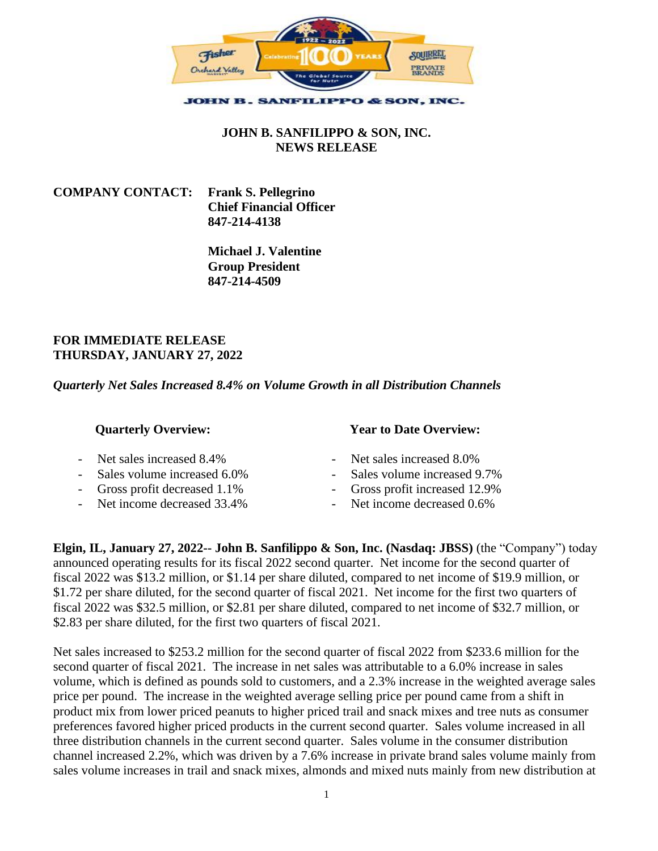

## **JOHN B. SANFILIPPO & SON, INC. NEWS RELEASE**

**COMPANY CONTACT: Frank S. Pellegrino Chief Financial Officer 847-214-4138**

> **Michael J. Valentine Group President 847-214-4509**

## **FOR IMMEDIATE RELEASE THURSDAY, JANUARY 27, 2022**

*Quarterly Net Sales Increased 8.4% on Volume Growth in all Distribution Channels*

| <b>Quarterly Overview:</b>                                                                                                   | <b>Year to Date Overview:</b>                                                                                                |  |  |  |  |  |
|------------------------------------------------------------------------------------------------------------------------------|------------------------------------------------------------------------------------------------------------------------------|--|--|--|--|--|
| - Net sales increased 8.4%<br>- Sales volume increased 6.0%<br>- Gross profit decreased 1.1%<br>- Net income decreased 33.4% | - Net sales increased 8.0%<br>- Sales volume increased 9.7%<br>- Gross profit increased 12.9%<br>- Net income decreased 0.6% |  |  |  |  |  |
|                                                                                                                              |                                                                                                                              |  |  |  |  |  |

**Elgin, IL, January 27, 2022-- John B. Sanfilippo & Son, Inc. (Nasdaq: JBSS)** (the "Company") today announced operating results for its fiscal 2022 second quarter. Net income for the second quarter of fiscal 2022 was \$13.2 million, or \$1.14 per share diluted, compared to net income of \$19.9 million, or \$1.72 per share diluted, for the second quarter of fiscal 2021. Net income for the first two quarters of fiscal 2022 was \$32.5 million, or \$2.81 per share diluted, compared to net income of \$32.7 million, or \$2.83 per share diluted, for the first two quarters of fiscal 2021.

Net sales increased to \$253.2 million for the second quarter of fiscal 2022 from \$233.6 million for the second quarter of fiscal 2021. The increase in net sales was attributable to a 6.0% increase in sales volume, which is defined as pounds sold to customers, and a 2.3% increase in the weighted average sales price per pound. The increase in the weighted average selling price per pound came from a shift in product mix from lower priced peanuts to higher priced trail and snack mixes and tree nuts as consumer preferences favored higher priced products in the current second quarter. Sales volume increased in all three distribution channels in the current second quarter. Sales volume in the consumer distribution channel increased 2.2%, which was driven by a 7.6% increase in private brand sales volume mainly from sales volume increases in trail and snack mixes, almonds and mixed nuts mainly from new distribution at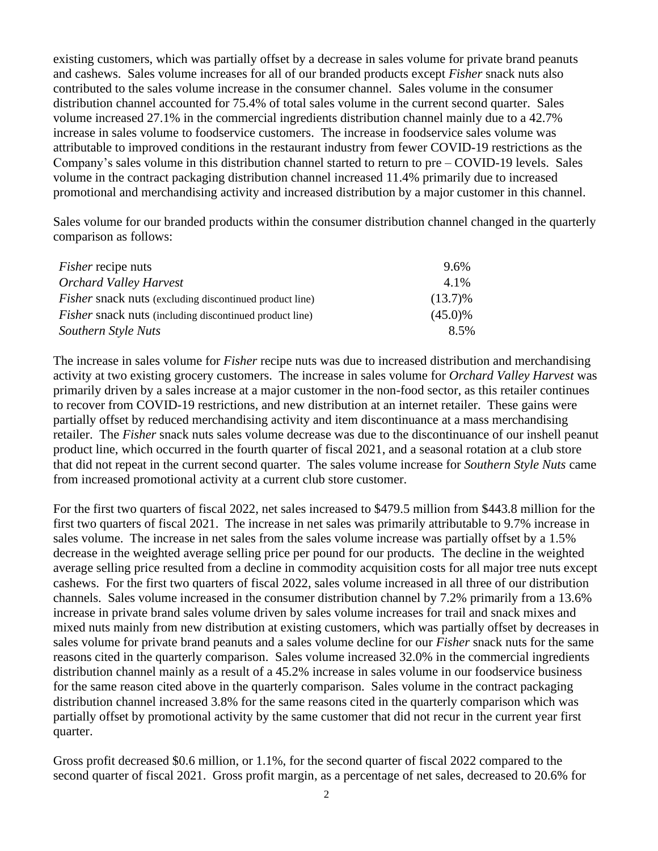existing customers, which was partially offset by a decrease in sales volume for private brand peanuts and cashews. Sales volume increases for all of our branded products except *Fisher* snack nuts also contributed to the sales volume increase in the consumer channel. Sales volume in the consumer distribution channel accounted for 75.4% of total sales volume in the current second quarter. Sales volume increased 27.1% in the commercial ingredients distribution channel mainly due to a 42.7% increase in sales volume to foodservice customers. The increase in foodservice sales volume was attributable to improved conditions in the restaurant industry from fewer COVID-19 restrictions as the Company's sales volume in this distribution channel started to return to pre – COVID-19 levels. Sales volume in the contract packaging distribution channel increased 11.4% primarily due to increased promotional and merchandising activity and increased distribution by a major customer in this channel.

Sales volume for our branded products within the consumer distribution channel changed in the quarterly comparison as follows:

| <i>Fisher</i> recipe nuts                                      | 9.6%       |
|----------------------------------------------------------------|------------|
| <b>Orchard Valley Harvest</b>                                  | 4.1%       |
| <i>Fisher</i> snack nuts (excluding discontinued product line) | $(13.7)\%$ |
| <i>Fisher</i> snack nuts (including discontinued product line) | $(45.0)\%$ |
| Southern Style Nuts                                            | 8.5%       |

The increase in sales volume for *Fisher* recipe nuts was due to increased distribution and merchandising activity at two existing grocery customers. The increase in sales volume for *Orchard Valley Harvest* was primarily driven by a sales increase at a major customer in the non-food sector, as this retailer continues to recover from COVID-19 restrictions, and new distribution at an internet retailer. These gains were partially offset by reduced merchandising activity and item discontinuance at a mass merchandising retailer. The *Fisher* snack nuts sales volume decrease was due to the discontinuance of our inshell peanut product line, which occurred in the fourth quarter of fiscal 2021, and a seasonal rotation at a club store that did not repeat in the current second quarter. The sales volume increase for *Southern Style Nuts* came from increased promotional activity at a current club store customer.

For the first two quarters of fiscal 2022, net sales increased to \$479.5 million from \$443.8 million for the first two quarters of fiscal 2021. The increase in net sales was primarily attributable to 9.7% increase in sales volume. The increase in net sales from the sales volume increase was partially offset by a 1.5% decrease in the weighted average selling price per pound for our products. The decline in the weighted average selling price resulted from a decline in commodity acquisition costs for all major tree nuts except cashews. For the first two quarters of fiscal 2022, sales volume increased in all three of our distribution channels. Sales volume increased in the consumer distribution channel by 7.2% primarily from a 13.6% increase in private brand sales volume driven by sales volume increases for trail and snack mixes and mixed nuts mainly from new distribution at existing customers, which was partially offset by decreases in sales volume for private brand peanuts and a sales volume decline for our *Fisher* snack nuts for the same reasons cited in the quarterly comparison. Sales volume increased 32.0% in the commercial ingredients distribution channel mainly as a result of a 45.2% increase in sales volume in our foodservice business for the same reason cited above in the quarterly comparison. Sales volume in the contract packaging distribution channel increased 3.8% for the same reasons cited in the quarterly comparison which was partially offset by promotional activity by the same customer that did not recur in the current year first quarter.

Gross profit decreased \$0.6 million, or 1.1%, for the second quarter of fiscal 2022 compared to the second quarter of fiscal 2021. Gross profit margin, as a percentage of net sales, decreased to 20.6% for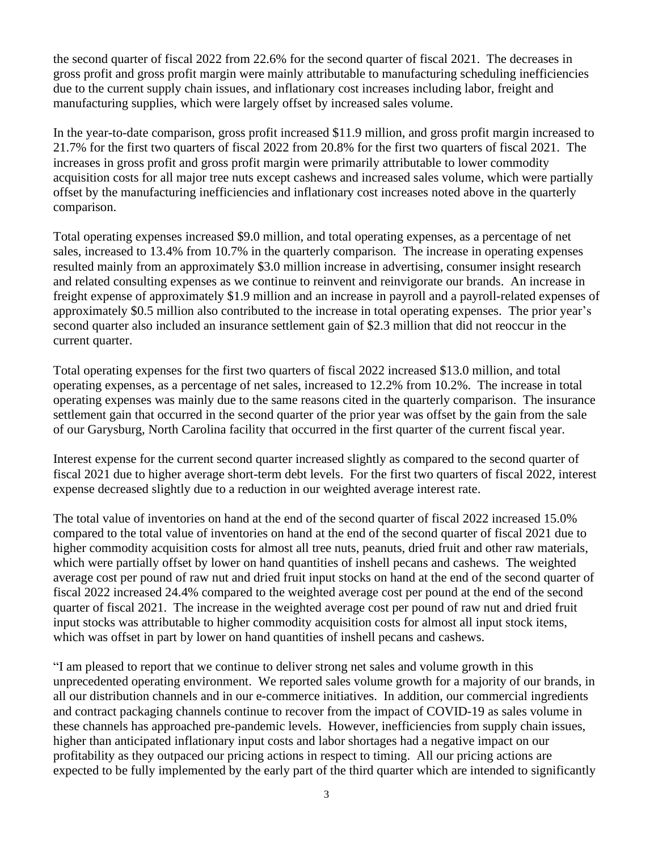the second quarter of fiscal 2022 from 22.6% for the second quarter of fiscal 2021. The decreases in gross profit and gross profit margin were mainly attributable to manufacturing scheduling inefficiencies due to the current supply chain issues, and inflationary cost increases including labor, freight and manufacturing supplies, which were largely offset by increased sales volume.

In the year-to-date comparison, gross profit increased \$11.9 million, and gross profit margin increased to 21.7% for the first two quarters of fiscal 2022 from 20.8% for the first two quarters of fiscal 2021. The increases in gross profit and gross profit margin were primarily attributable to lower commodity acquisition costs for all major tree nuts except cashews and increased sales volume, which were partially offset by the manufacturing inefficiencies and inflationary cost increases noted above in the quarterly comparison.

Total operating expenses increased \$9.0 million, and total operating expenses, as a percentage of net sales, increased to 13.4% from 10.7% in the quarterly comparison. The increase in operating expenses resulted mainly from an approximately \$3.0 million increase in advertising, consumer insight research and related consulting expenses as we continue to reinvent and reinvigorate our brands. An increase in freight expense of approximately \$1.9 million and an increase in payroll and a payroll-related expenses of approximately \$0.5 million also contributed to the increase in total operating expenses. The prior year's second quarter also included an insurance settlement gain of \$2.3 million that did not reoccur in the current quarter.

Total operating expenses for the first two quarters of fiscal 2022 increased \$13.0 million, and total operating expenses, as a percentage of net sales, increased to 12.2% from 10.2%. The increase in total operating expenses was mainly due to the same reasons cited in the quarterly comparison. The insurance settlement gain that occurred in the second quarter of the prior year was offset by the gain from the sale of our Garysburg, North Carolina facility that occurred in the first quarter of the current fiscal year.

Interest expense for the current second quarter increased slightly as compared to the second quarter of fiscal 2021 due to higher average short-term debt levels. For the first two quarters of fiscal 2022, interest expense decreased slightly due to a reduction in our weighted average interest rate.

The total value of inventories on hand at the end of the second quarter of fiscal 2022 increased 15.0% compared to the total value of inventories on hand at the end of the second quarter of fiscal 2021 due to higher commodity acquisition costs for almost all tree nuts, peanuts, dried fruit and other raw materials, which were partially offset by lower on hand quantities of inshell pecans and cashews. The weighted average cost per pound of raw nut and dried fruit input stocks on hand at the end of the second quarter of fiscal 2022 increased 24.4% compared to the weighted average cost per pound at the end of the second quarter of fiscal 2021. The increase in the weighted average cost per pound of raw nut and dried fruit input stocks was attributable to higher commodity acquisition costs for almost all input stock items, which was offset in part by lower on hand quantities of inshell pecans and cashews.

"I am pleased to report that we continue to deliver strong net sales and volume growth in this unprecedented operating environment. We reported sales volume growth for a majority of our brands, in all our distribution channels and in our e-commerce initiatives. In addition, our commercial ingredients and contract packaging channels continue to recover from the impact of COVID-19 as sales volume in these channels has approached pre-pandemic levels. However, inefficiencies from supply chain issues, higher than anticipated inflationary input costs and labor shortages had a negative impact on our profitability as they outpaced our pricing actions in respect to timing. All our pricing actions are expected to be fully implemented by the early part of the third quarter which are intended to significantly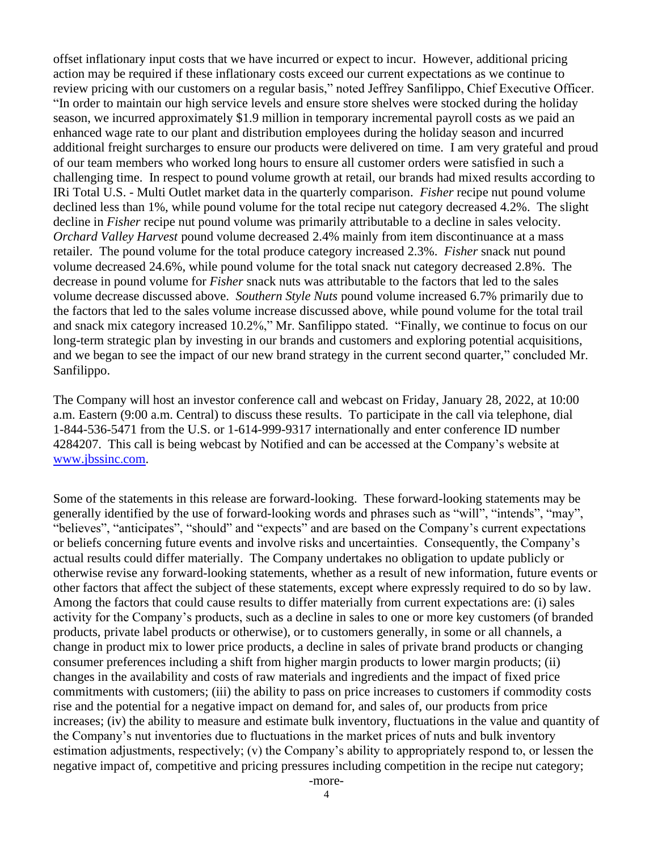offset inflationary input costs that we have incurred or expect to incur. However, additional pricing action may be required if these inflationary costs exceed our current expectations as we continue to review pricing with our customers on a regular basis," noted Jeffrey Sanfilippo, Chief Executive Officer. "In order to maintain our high service levels and ensure store shelves were stocked during the holiday season, we incurred approximately \$1.9 million in temporary incremental payroll costs as we paid an enhanced wage rate to our plant and distribution employees during the holiday season and incurred additional freight surcharges to ensure our products were delivered on time. I am very grateful and proud of our team members who worked long hours to ensure all customer orders were satisfied in such a challenging time. In respect to pound volume growth at retail, our brands had mixed results according to IRi Total U.S. - Multi Outlet market data in the quarterly comparison. *Fisher* recipe nut pound volume declined less than 1%, while pound volume for the total recipe nut category decreased 4.2%. The slight decline in *Fisher* recipe nut pound volume was primarily attributable to a decline in sales velocity. *Orchard Valley Harvest* pound volume decreased 2.4% mainly from item discontinuance at a mass retailer. The pound volume for the total produce category increased 2.3%. *Fisher* snack nut pound volume decreased 24.6%, while pound volume for the total snack nut category decreased 2.8%. The decrease in pound volume for *Fisher* snack nuts was attributable to the factors that led to the sales volume decrease discussed above. *Southern Style Nuts* pound volume increased 6.7% primarily due to the factors that led to the sales volume increase discussed above, while pound volume for the total trail and snack mix category increased 10.2%," Mr. Sanfilippo stated. "Finally, we continue to focus on our long-term strategic plan by investing in our brands and customers and exploring potential acquisitions, and we began to see the impact of our new brand strategy in the current second quarter," concluded Mr. Sanfilippo.

The Company will host an investor conference call and webcast on Friday, January 28, 2022, at 10:00 a.m. Eastern (9:00 a.m. Central) to discuss these results. To participate in the call via telephone, dial 1-844-536-5471 from the U.S. or 1-614-999-9317 internationally and enter conference ID number 4284207. This call is being webcast by Notified and can be accessed at the Company's website at [www.jbssinc.com.](file://///CORP.JBSSINC.COM/Private/Users/mvalentine/ACCOUNTING/fy%202018/q2%2018/pr%20and%20q/www.jbssinc.com)

Some of the statements in this release are forward-looking. These forward-looking statements may be generally identified by the use of forward-looking words and phrases such as "will", "intends", "may", "believes", "anticipates", "should" and "expects" and are based on the Company's current expectations or beliefs concerning future events and involve risks and uncertainties. Consequently, the Company's actual results could differ materially. The Company undertakes no obligation to update publicly or otherwise revise any forward-looking statements, whether as a result of new information, future events or other factors that affect the subject of these statements, except where expressly required to do so by law. Among the factors that could cause results to differ materially from current expectations are: (i) sales activity for the Company's products, such as a decline in sales to one or more key customers (of branded products, private label products or otherwise), or to customers generally, in some or all channels, a change in product mix to lower price products, a decline in sales of private brand products or changing consumer preferences including a shift from higher margin products to lower margin products; (ii) changes in the availability and costs of raw materials and ingredients and the impact of fixed price commitments with customers; (iii) the ability to pass on price increases to customers if commodity costs rise and the potential for a negative impact on demand for, and sales of, our products from price increases; (iv) the ability to measure and estimate bulk inventory, fluctuations in the value and quantity of the Company's nut inventories due to fluctuations in the market prices of nuts and bulk inventory estimation adjustments, respectively; (v) the Company's ability to appropriately respond to, or lessen the negative impact of, competitive and pricing pressures including competition in the recipe nut category;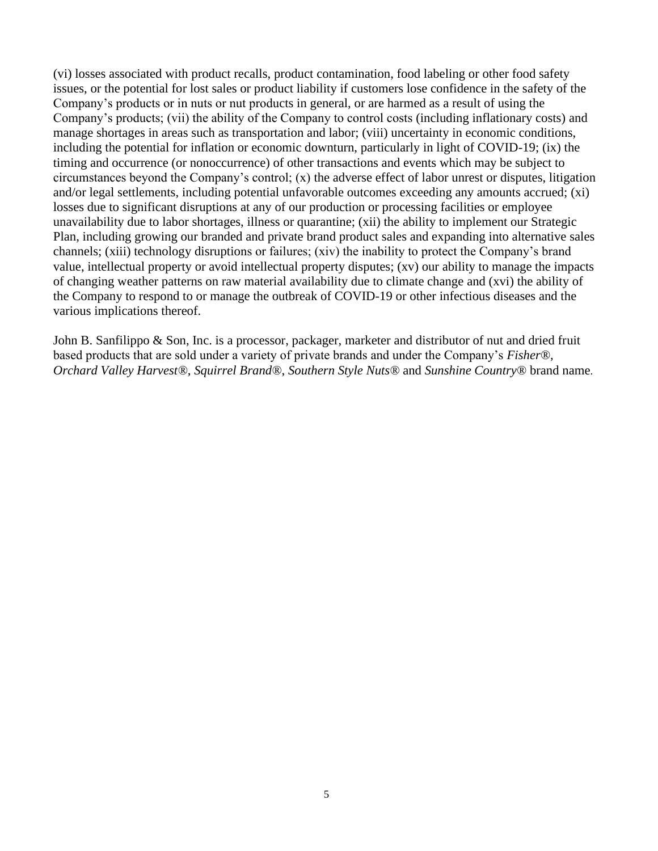(vi) losses associated with product recalls, product contamination, food labeling or other food safety issues, or the potential for lost sales or product liability if customers lose confidence in the safety of the Company's products or in nuts or nut products in general, or are harmed as a result of using the Company's products; (vii) the ability of the Company to control costs (including inflationary costs) and manage shortages in areas such as transportation and labor; (viii) uncertainty in economic conditions, including the potential for inflation or economic downturn, particularly in light of COVID-19; (ix) the timing and occurrence (or nonoccurrence) of other transactions and events which may be subject to circumstances beyond the Company's control; (x) the adverse effect of labor unrest or disputes, litigation and/or legal settlements, including potential unfavorable outcomes exceeding any amounts accrued; (xi) losses due to significant disruptions at any of our production or processing facilities or employee unavailability due to labor shortages, illness or quarantine; (xii) the ability to implement our Strategic Plan, including growing our branded and private brand product sales and expanding into alternative sales channels; (xiii) technology disruptions or failures; (xiv) the inability to protect the Company's brand value, intellectual property or avoid intellectual property disputes; (xv) our ability to manage the impacts of changing weather patterns on raw material availability due to climate change and (xvi) the ability of the Company to respond to or manage the outbreak of COVID-19 or other infectious diseases and the various implications thereof.

John B. Sanfilippo & Son, Inc. is a processor, packager, marketer and distributor of nut and dried fruit based products that are sold under a variety of private brands and under the Company's *Fisher®, Orchard Valley Harvest®, Squirrel Brand®*, *Southern Style Nuts®* and *Sunshine Country®* brand name.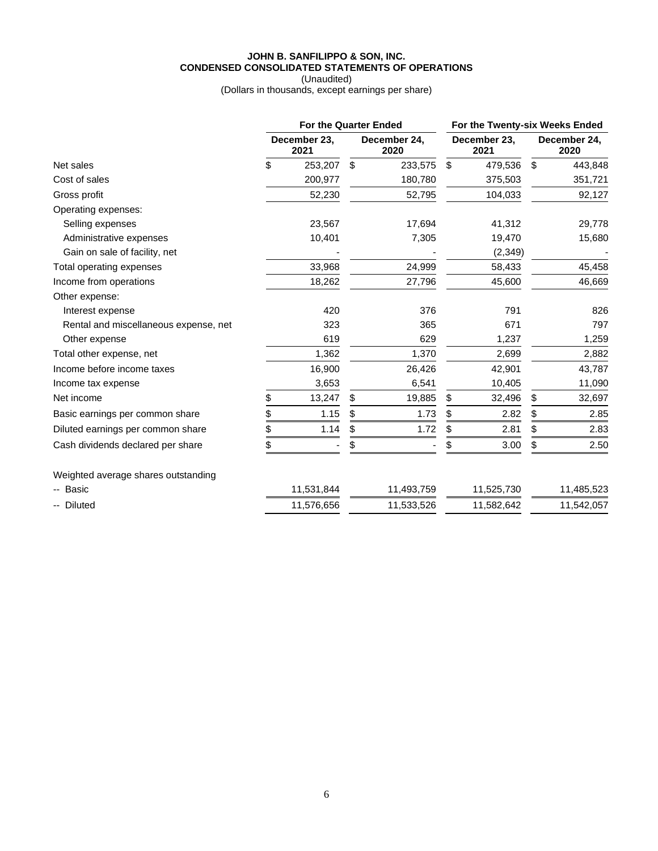## **JOHN B. SANFILIPPO & SON, INC. CONDENSED CONSOLIDATED STATEMENTS OF OPERATIONS**

(Unaudited) (Dollars in thousands, except earnings per share)

|                                       |                      | <b>For the Quarter Ended</b> |                      |            | For the Twenty-six Weeks Ended |            |                      |            |  |
|---------------------------------------|----------------------|------------------------------|----------------------|------------|--------------------------------|------------|----------------------|------------|--|
|                                       | December 23,<br>2021 |                              | December 24,<br>2020 |            | December 23,<br>2021           |            | December 24,<br>2020 |            |  |
| Net sales                             | \$                   | 253,207                      | \$                   | 233,575    | \$                             | 479,536    | \$                   | 443,848    |  |
| Cost of sales                         |                      | 200,977                      |                      | 180,780    |                                | 375,503    |                      | 351,721    |  |
| Gross profit                          |                      | 52,230                       |                      | 52,795     |                                | 104,033    |                      | 92,127     |  |
| Operating expenses:                   |                      |                              |                      |            |                                |            |                      |            |  |
| Selling expenses                      |                      | 23,567                       |                      | 17,694     |                                | 41,312     |                      | 29,778     |  |
| Administrative expenses               |                      | 10,401                       |                      | 7,305      |                                | 19,470     |                      | 15,680     |  |
| Gain on sale of facility, net         |                      |                              |                      |            |                                | (2, 349)   |                      |            |  |
| Total operating expenses              |                      | 33,968                       |                      | 24,999     |                                | 58,433     |                      | 45,458     |  |
| Income from operations                |                      | 18,262                       |                      | 27,796     |                                | 45,600     |                      | 46,669     |  |
| Other expense:                        |                      |                              |                      |            |                                |            |                      |            |  |
| Interest expense                      |                      | 420                          |                      | 376        |                                | 791        |                      | 826        |  |
| Rental and miscellaneous expense, net |                      | 323                          |                      | 365        |                                | 671        |                      | 797        |  |
| Other expense                         |                      | 619                          |                      | 629        |                                | 1,237      |                      | 1,259      |  |
| Total other expense, net              |                      | 1,362                        |                      | 1,370      |                                | 2,699      |                      | 2,882      |  |
| Income before income taxes            |                      | 16,900                       |                      | 26,426     |                                | 42,901     |                      | 43,787     |  |
| Income tax expense                    |                      | 3,653                        |                      | 6,541      |                                | 10,405     |                      | 11,090     |  |
| Net income                            | \$                   | 13,247                       | \$                   | 19,885     | \$                             | 32,496     | \$                   | 32,697     |  |
| Basic earnings per common share       | \$                   | 1.15                         | \$                   | 1.73       | \$                             | 2.82       | \$                   | 2.85       |  |
| Diluted earnings per common share     | \$                   | 1.14                         | \$                   | 1.72       | \$                             | 2.81       | \$                   | 2.83       |  |
| Cash dividends declared per share     | \$                   |                              | \$                   |            | \$                             | 3.00       | \$                   | 2.50       |  |
| Weighted average shares outstanding   |                      |                              |                      |            |                                |            |                      |            |  |
| -- Basic                              |                      | 11,531,844                   |                      | 11,493,759 |                                | 11,525,730 |                      | 11,485,523 |  |
| -- Diluted                            |                      | 11,576,656                   |                      | 11,533,526 |                                | 11,582,642 |                      | 11,542,057 |  |